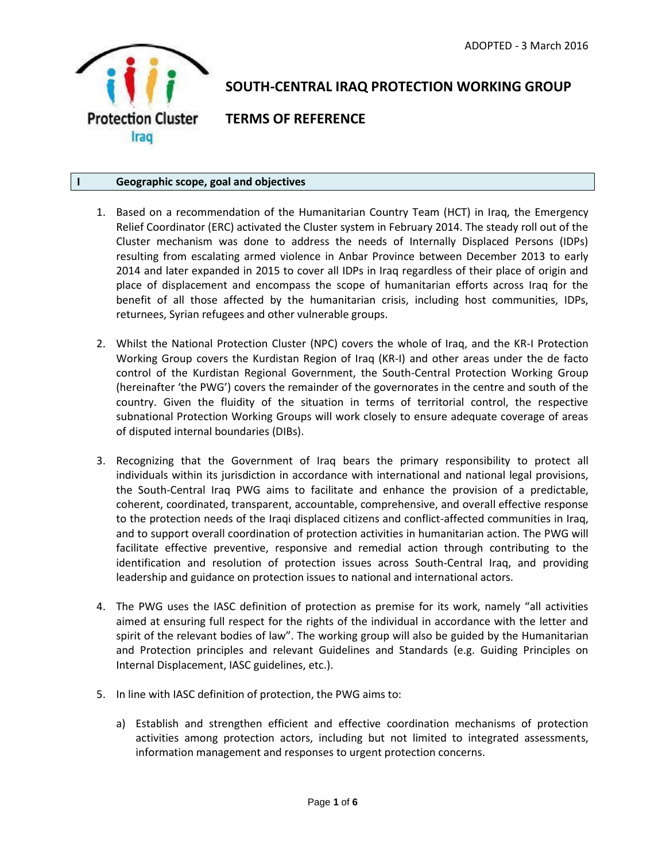

# **SOUTH-CENTRAL IRAQ PROTECTION WORKING GROUP**

**TERMS OF REFERENCE**

## **I Geographic scope, goal and objectives**

- 1. Based on a recommendation of the Humanitarian Country Team (HCT) in Iraq, the Emergency Relief Coordinator (ERC) activated the Cluster system in February 2014. The steady roll out of the Cluster mechanism was done to address the needs of Internally Displaced Persons (IDPs) resulting from escalating armed violence in Anbar Province between December 2013 to early 2014 and later expanded in 2015 to cover all IDPs in Iraq regardless of their place of origin and place of displacement and encompass the scope of humanitarian efforts across Iraq for the benefit of all those affected by the humanitarian crisis, including host communities, IDPs, returnees, Syrian refugees and other vulnerable groups.
- 2. Whilst the National Protection Cluster (NPC) covers the whole of Iraq, and the KR-I Protection Working Group covers the Kurdistan Region of Iraq (KR-I) and other areas under the de facto control of the Kurdistan Regional Government, the South-Central Protection Working Group (hereinafter 'the PWG') covers the remainder of the governorates in the centre and south of the country. Given the fluidity of the situation in terms of territorial control, the respective subnational Protection Working Groups will work closely to ensure adequate coverage of areas of disputed internal boundaries (DIBs).
- 3. Recognizing that the Government of Iraq bears the primary responsibility to protect all individuals within its jurisdiction in accordance with international and national legal provisions, the South-Central Iraq PWG aims to facilitate and enhance the provision of a predictable, coherent, coordinated, transparent, accountable, comprehensive, and overall effective response to the protection needs of the Iraqi displaced citizens and conflict-affected communities in Iraq, and to support overall coordination of protection activities in humanitarian action. The PWG will facilitate effective preventive, responsive and remedial action through contributing to the identification and resolution of protection issues across South-Central Iraq, and providing leadership and guidance on protection issues to national and international actors.
- 4. The PWG uses the IASC definition of protection as premise for its work, namely "all activities aimed at ensuring full respect for the rights of the individual in accordance with the letter and spirit of the relevant bodies of law". The working group will also be guided by the Humanitarian and Protection principles and relevant Guidelines and Standards (e.g. Guiding Principles on Internal Displacement, IASC guidelines, etc.).
- 5. In line with IASC definition of protection, the PWG aims to:
	- a) Establish and strengthen efficient and effective coordination mechanisms of protection activities among protection actors, including but not limited to integrated assessments, information management and responses to urgent protection concerns.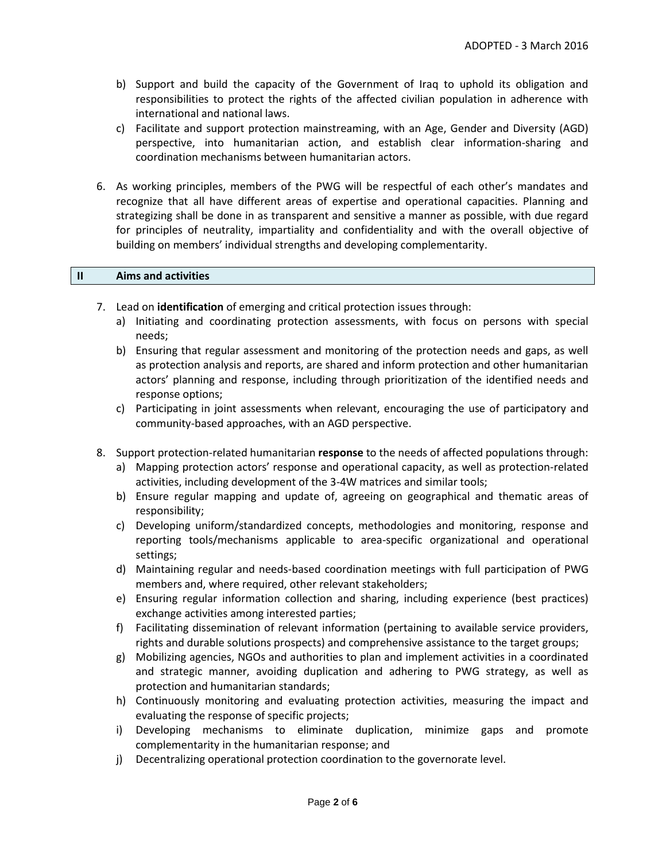- b) Support and build the capacity of the Government of Iraq to uphold its obligation and responsibilities to protect the rights of the affected civilian population in adherence with international and national laws.
- c) Facilitate and support protection mainstreaming, with an Age, Gender and Diversity (AGD) perspective, into humanitarian action, and establish clear information-sharing and coordination mechanisms between humanitarian actors.
- 6. As working principles, members of the PWG will be respectful of each other's mandates and recognize that all have different areas of expertise and operational capacities. Planning and strategizing shall be done in as transparent and sensitive a manner as possible, with due regard for principles of neutrality, impartiality and confidentiality and with the overall objective of building on members' individual strengths and developing complementarity.

## **II Aims and activities**

- 7. Lead on **identification** of emerging and critical protection issues through:
	- a) Initiating and coordinating protection assessments, with focus on persons with special needs;
	- b) Ensuring that regular assessment and monitoring of the protection needs and gaps, as well as protection analysis and reports, are shared and inform protection and other humanitarian actors' planning and response, including through prioritization of the identified needs and response options;
	- c) Participating in joint assessments when relevant, encouraging the use of participatory and community-based approaches, with an AGD perspective.
- 8. Support protection-related humanitarian **response** to the needs of affected populations through:
	- a) Mapping protection actors' response and operational capacity, as well as protection-related activities, including development of the 3-4W matrices and similar tools;
	- b) Ensure regular mapping and update of, agreeing on geographical and thematic areas of responsibility;
	- c) Developing uniform/standardized concepts, methodologies and monitoring, response and reporting tools/mechanisms applicable to area-specific organizational and operational settings;
	- d) Maintaining regular and needs-based coordination meetings with full participation of PWG members and, where required, other relevant stakeholders;
	- e) Ensuring regular information collection and sharing, including experience (best practices) exchange activities among interested parties;
	- f) Facilitating dissemination of relevant information (pertaining to available service providers, rights and durable solutions prospects) and comprehensive assistance to the target groups;
	- g) Mobilizing agencies, NGOs and authorities to plan and implement activities in a coordinated and strategic manner, avoiding duplication and adhering to PWG strategy, as well as protection and humanitarian standards;
	- h) Continuously monitoring and evaluating protection activities, measuring the impact and evaluating the response of specific projects;
	- i) Developing mechanisms to eliminate duplication, minimize gaps and promote complementarity in the humanitarian response; and
	- j) Decentralizing operational protection coordination to the governorate level.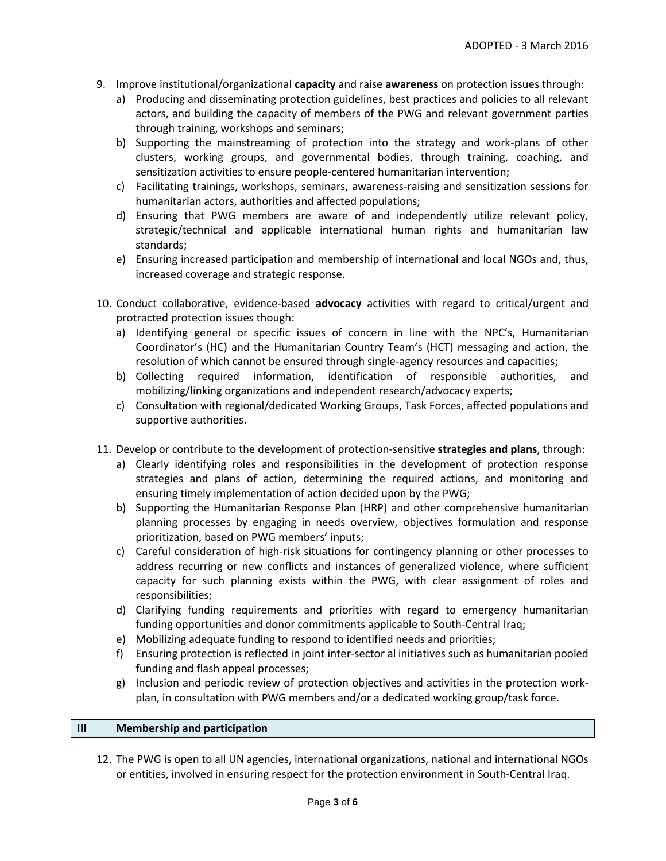- 9. Improve institutional/organizational **capacity** and raise **awareness** on protection issues through:
	- a) Producing and disseminating protection guidelines, best practices and policies to all relevant actors, and building the capacity of members of the PWG and relevant government parties through training, workshops and seminars;
	- b) Supporting the mainstreaming of protection into the strategy and work-plans of other clusters, working groups, and governmental bodies, through training, coaching, and sensitization activities to ensure people-centered humanitarian intervention;
	- c) Facilitating trainings, workshops, seminars, awareness-raising and sensitization sessions for humanitarian actors, authorities and affected populations;
	- d) Ensuring that PWG members are aware of and independently utilize relevant policy, strategic/technical and applicable international human rights and humanitarian law standards;
	- e) Ensuring increased participation and membership of international and local NGOs and, thus, increased coverage and strategic response.
- 10. Conduct collaborative, evidence-based **advocacy** activities with regard to critical/urgent and protracted protection issues though:
	- a) Identifying general or specific issues of concern in line with the NPC's, Humanitarian Coordinator's (HC) and the Humanitarian Country Team's (HCT) messaging and action, the resolution of which cannot be ensured through single-agency resources and capacities;
	- b) Collecting required information, identification of responsible authorities, and mobilizing/linking organizations and independent research/advocacy experts;
	- c) Consultation with regional/dedicated Working Groups, Task Forces, affected populations and supportive authorities.
- 11. Develop or contribute to the development of protection-sensitive **strategies and plans**, through:
	- a) Clearly identifying roles and responsibilities in the development of protection response strategies and plans of action, determining the required actions, and monitoring and ensuring timely implementation of action decided upon by the PWG;
	- b) Supporting the Humanitarian Response Plan (HRP) and other comprehensive humanitarian planning processes by engaging in needs overview, objectives formulation and response prioritization, based on PWG members' inputs;
	- c) Careful consideration of high-risk situations for contingency planning or other processes to address recurring or new conflicts and instances of generalized violence, where sufficient capacity for such planning exists within the PWG, with clear assignment of roles and responsibilities;
	- d) Clarifying funding requirements and priorities with regard to emergency humanitarian funding opportunities and donor commitments applicable to South-Central Iraq;
	- e) Mobilizing adequate funding to respond to identified needs and priorities;
	- f) Ensuring protection is reflected in joint inter-sector al initiatives such as humanitarian pooled funding and flash appeal processes;
	- g) Inclusion and periodic review of protection objectives and activities in the protection workplan, in consultation with PWG members and/or a dedicated working group/task force.

#### **III Membership and participation**

12. The PWG is open to all UN agencies, international organizations, national and international NGOs or entities, involved in ensuring respect for the protection environment in South-Central Iraq.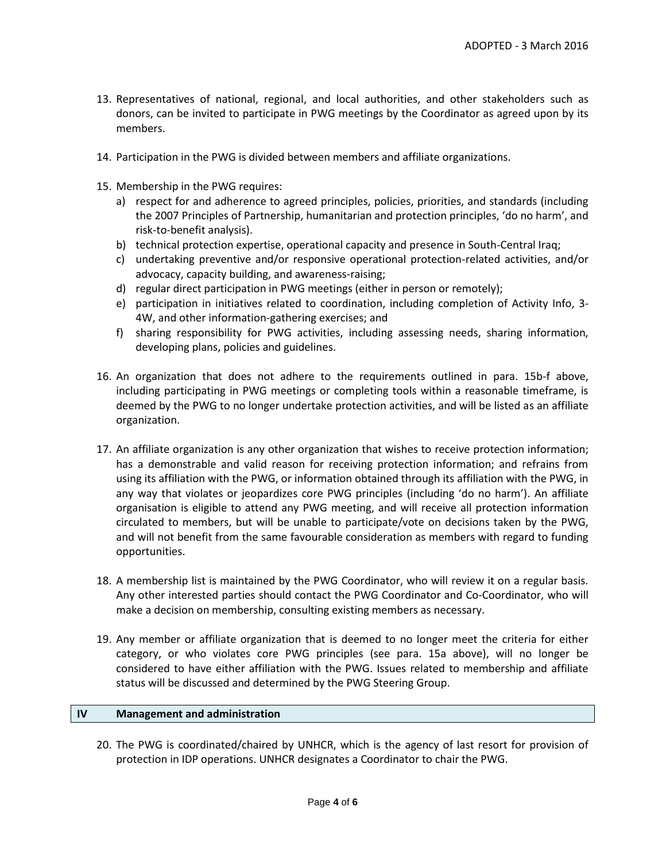- 13. Representatives of national, regional, and local authorities, and other stakeholders such as donors, can be invited to participate in PWG meetings by the Coordinator as agreed upon by its members.
- 14. Participation in the PWG is divided between members and affiliate organizations.
- 15. Membership in the PWG requires:
	- a) respect for and adherence to agreed principles, policies, priorities, and standards (including the 2007 Principles of Partnership, humanitarian and protection principles, 'do no harm', and risk-to-benefit analysis).
	- b) technical protection expertise, operational capacity and presence in South-Central Iraq;
	- c) undertaking preventive and/or responsive operational protection-related activities, and/or advocacy, capacity building, and awareness-raising;
	- d) regular direct participation in PWG meetings (either in person or remotely);
	- e) participation in initiatives related to coordination, including completion of Activity Info, 3- 4W, and other information-gathering exercises; and
	- f) sharing responsibility for PWG activities, including assessing needs, sharing information, developing plans, policies and guidelines.
- 16. An organization that does not adhere to the requirements outlined in para. 15b-f above, including participating in PWG meetings or completing tools within a reasonable timeframe, is deemed by the PWG to no longer undertake protection activities, and will be listed as an affiliate organization.
- 17. An affiliate organization is any other organization that wishes to receive protection information; has a demonstrable and valid reason for receiving protection information; and refrains from using its affiliation with the PWG, or information obtained through its affiliation with the PWG, in any way that violates or jeopardizes core PWG principles (including 'do no harm'). An affiliate organisation is eligible to attend any PWG meeting, and will receive all protection information circulated to members, but will be unable to participate/vote on decisions taken by the PWG, and will not benefit from the same favourable consideration as members with regard to funding opportunities.
- 18. A membership list is maintained by the PWG Coordinator, who will review it on a regular basis. Any other interested parties should contact the PWG Coordinator and Co-Coordinator, who will make a decision on membership, consulting existing members as necessary.
- 19. Any member or affiliate organization that is deemed to no longer meet the criteria for either category, or who violates core PWG principles (see para. 15a above), will no longer be considered to have either affiliation with the PWG. Issues related to membership and affiliate status will be discussed and determined by the PWG Steering Group.

## **IV Management and administration**

20. The PWG is coordinated/chaired by UNHCR, which is the agency of last resort for provision of protection in IDP operations. UNHCR designates a Coordinator to chair the PWG.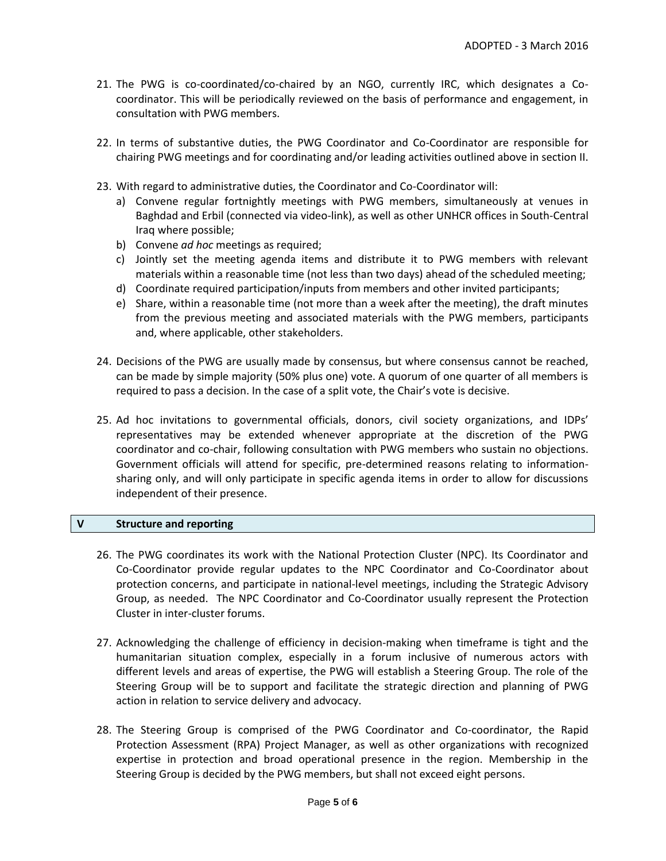- 21. The PWG is co-coordinated/co-chaired by an NGO, currently IRC, which designates a Cocoordinator. This will be periodically reviewed on the basis of performance and engagement, in consultation with PWG members.
- 22. In terms of substantive duties, the PWG Coordinator and Co-Coordinator are responsible for chairing PWG meetings and for coordinating and/or leading activities outlined above in section II.
- 23. With regard to administrative duties, the Coordinator and Co-Coordinator will:
	- a) Convene regular fortnightly meetings with PWG members, simultaneously at venues in Baghdad and Erbil (connected via video-link), as well as other UNHCR offices in South-Central Iraq where possible;
	- b) Convene *ad hoc* meetings as required;
	- c) Jointly set the meeting agenda items and distribute it to PWG members with relevant materials within a reasonable time (not less than two days) ahead of the scheduled meeting;
	- d) Coordinate required participation/inputs from members and other invited participants;
	- e) Share, within a reasonable time (not more than a week after the meeting), the draft minutes from the previous meeting and associated materials with the PWG members, participants and, where applicable, other stakeholders.
- 24. Decisions of the PWG are usually made by consensus, but where consensus cannot be reached, can be made by simple majority (50% plus one) vote. A quorum of one quarter of all members is required to pass a decision. In the case of a split vote, the Chair's vote is decisive.
- 25. Ad hoc invitations to governmental officials, donors, civil society organizations, and IDPs' representatives may be extended whenever appropriate at the discretion of the PWG coordinator and co-chair, following consultation with PWG members who sustain no objections. Government officials will attend for specific, pre-determined reasons relating to informationsharing only, and will only participate in specific agenda items in order to allow for discussions independent of their presence.

## **V Structure and reporting**

- 26. The PWG coordinates its work with the National Protection Cluster (NPC). Its Coordinator and Co-Coordinator provide regular updates to the NPC Coordinator and Co-Coordinator about protection concerns, and participate in national-level meetings, including the Strategic Advisory Group, as needed. The NPC Coordinator and Co-Coordinator usually represent the Protection Cluster in inter-cluster forums.
- 27. Acknowledging the challenge of efficiency in decision-making when timeframe is tight and the humanitarian situation complex, especially in a forum inclusive of numerous actors with different levels and areas of expertise, the PWG will establish a Steering Group. The role of the Steering Group will be to support and facilitate the strategic direction and planning of PWG action in relation to service delivery and advocacy.
- 28. The Steering Group is comprised of the PWG Coordinator and Co-coordinator, the Rapid Protection Assessment (RPA) Project Manager, as well as other organizations with recognized expertise in protection and broad operational presence in the region. Membership in the Steering Group is decided by the PWG members, but shall not exceed eight persons.